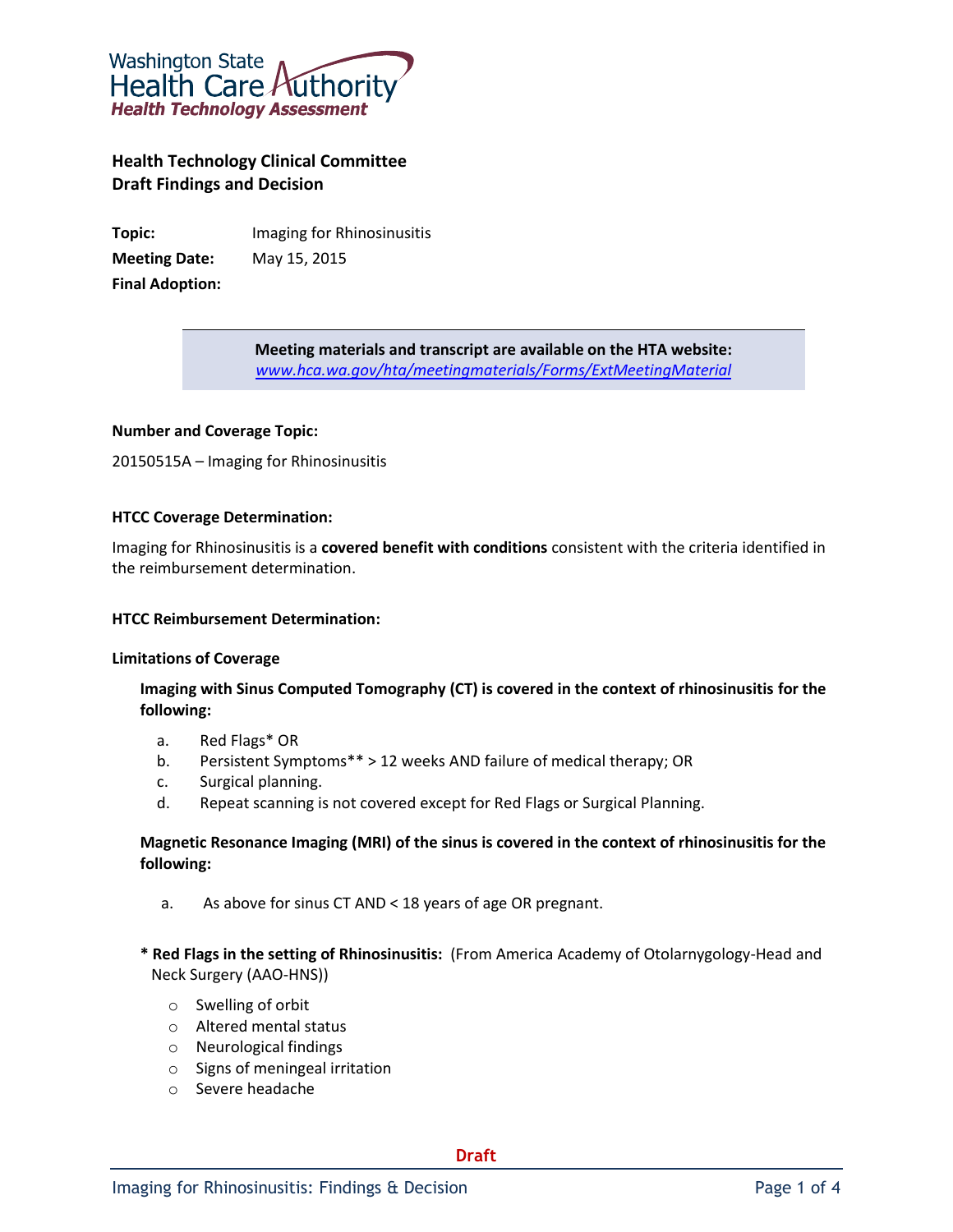

# **Health Technology Clinical Committee Draft Findings and Decision**

**Topic:** Imaging for Rhinosinusitis **Meeting Date:** May 15, 2015 **Final Adoption:**

> **Meeting materials and transcript are available on the HTA website:** *[www.hca.wa.gov/hta/meetingmaterials/Forms/ExtMeetingMaterial](http://www.hca.wa.gov/hta/meetingmaterials/Forms/ExtMeetingMaterial)*

#### **Number and Coverage Topic:**

20150515A – Imaging for Rhinosinusitis

#### **HTCC Coverage Determination:**

Imaging for Rhinosinusitis is a **covered benefit with conditions** consistent with the criteria identified in the reimbursement determination.

#### **HTCC Reimbursement Determination:**

#### **Limitations of Coverage**

## **Imaging with Sinus Computed Tomography (CT) is covered in the context of rhinosinusitis for the following:**

- a. Red Flags\* OR
- b. Persistent Symptoms\*\* > 12 weeks AND failure of medical therapy; OR
- c. Surgical planning.
- d. Repeat scanning is not covered except for Red Flags or Surgical Planning.

## **Magnetic Resonance Imaging (MRI) of the sinus is covered in the context of rhinosinusitis for the following:**

- a. As above for sinus CT AND < 18 years of age OR pregnant.
- **\* Red Flags in the setting of Rhinosinusitis:** (From America Academy of Otolarnygology-Head and Neck Surgery (AAO-HNS))
	- o Swelling of orbit
	- o Altered mental status
	- o Neurological findings
	- o Signs of meningeal irritation
	- o Severe headache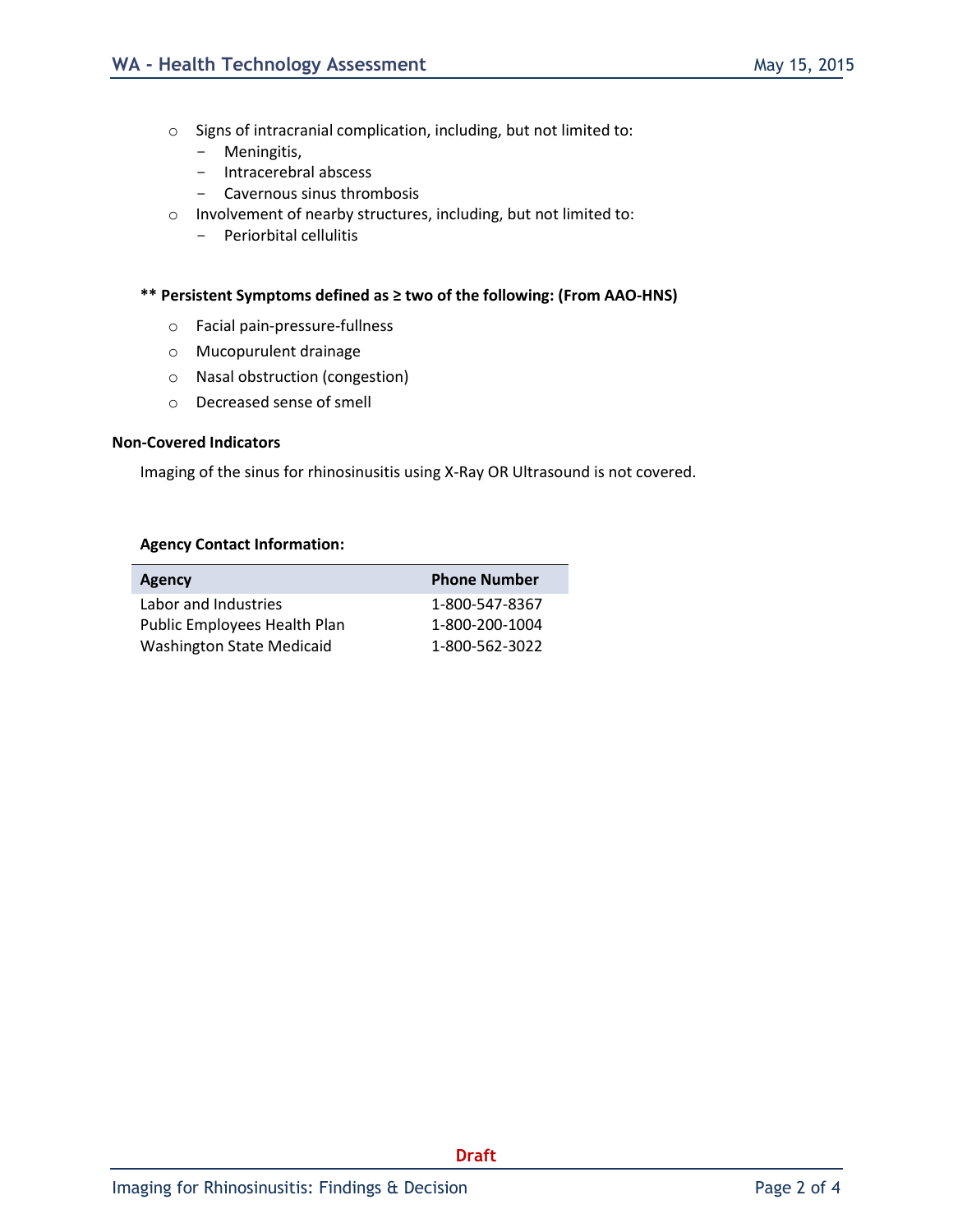- o Signs of intracranial complication, including, but not limited to:
	- Meningitis,
	- Intracerebral abscess
	- Cavernous sinus thrombosis
- o Involvement of nearby structures, including, but not limited to:
	- Periorbital cellulitis

#### **\*\* Persistent Symptoms defined as ≥ two of the following: (From AAO-HNS)**

- o Facial pain-pressure-fullness
- o Mucopurulent drainage
- o Nasal obstruction (congestion)
- o Decreased sense of smell

#### **Non-Covered Indicators**

Imaging of the sinus for rhinosinusitis using X-Ray OR Ultrasound is not covered.

#### **Agency Contact Information:**

| <b>Agency</b>                    | <b>Phone Number</b> |
|----------------------------------|---------------------|
| Labor and Industries             | 1-800-547-8367      |
| Public Employees Health Plan     | 1-800-200-1004      |
| <b>Washington State Medicaid</b> | 1-800-562-3022      |

**Draft**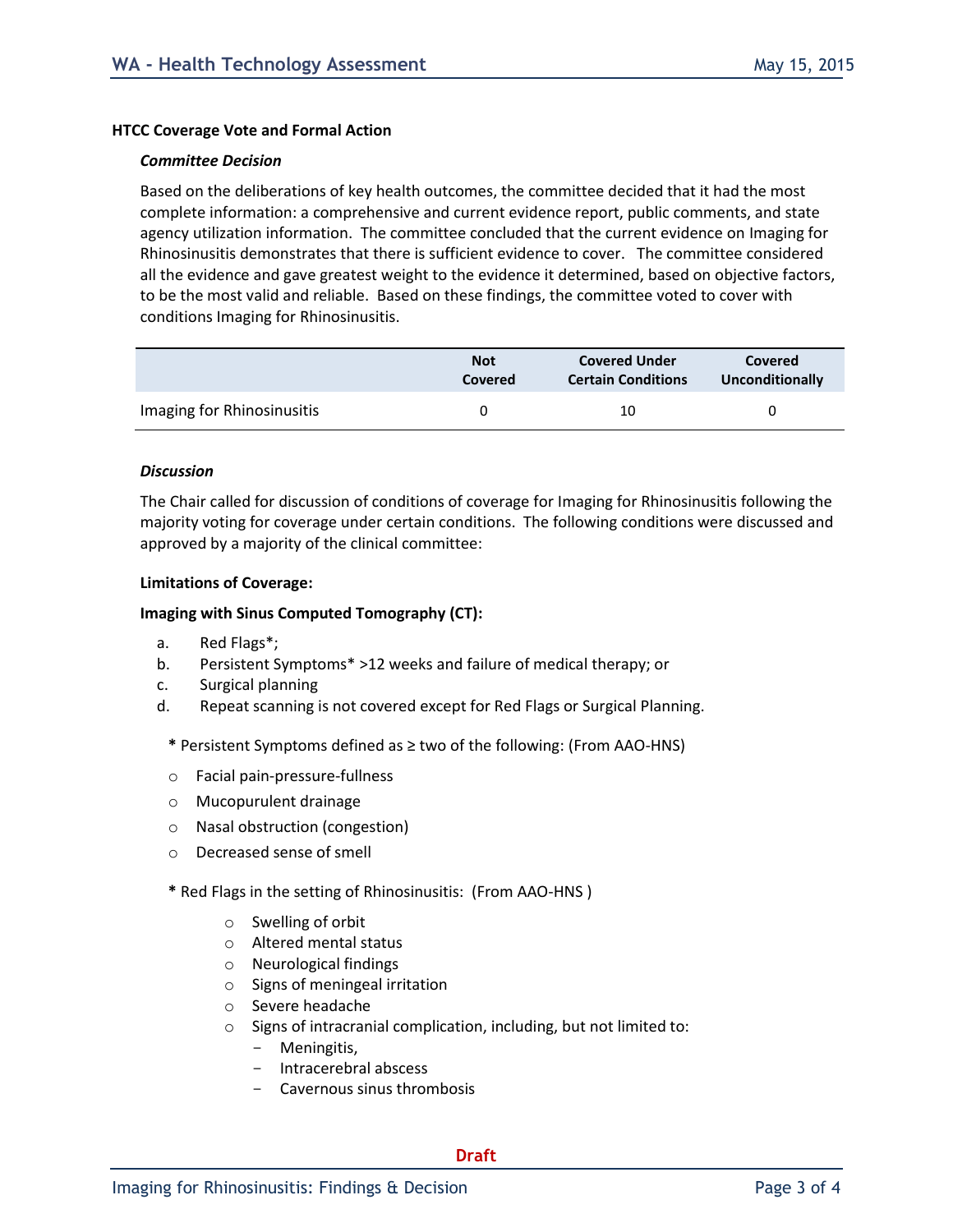#### **HTCC Coverage Vote and Formal Action**

#### *Committee Decision*

Based on the deliberations of key health outcomes, the committee decided that it had the most complete information: a comprehensive and current evidence report, public comments, and state agency utilization information. The committee concluded that the current evidence on Imaging for Rhinosinusitis demonstrates that there is sufficient evidence to cover. The committee considered all the evidence and gave greatest weight to the evidence it determined, based on objective factors, to be the most valid and reliable. Based on these findings, the committee voted to cover with conditions Imaging for Rhinosinusitis.

|                            | <b>Not</b>     | <b>Covered Under</b>      | <b>Covered</b>  |
|----------------------------|----------------|---------------------------|-----------------|
|                            | <b>Covered</b> | <b>Certain Conditions</b> | Unconditionally |
| Imaging for Rhinosinusitis |                | 10                        |                 |

#### *Discussion*

The Chair called for discussion of conditions of coverage for Imaging for Rhinosinusitis following the majority voting for coverage under certain conditions. The following conditions were discussed and approved by a majority of the clinical committee:

#### **Limitations of Coverage:**

#### **Imaging with Sinus Computed Tomography (CT):**

- a. Red Flags\*;
- b. Persistent Symptoms\* >12 weeks and failure of medical therapy; or
- c. Surgical planning
- d. Repeat scanning is not covered except for Red Flags or Surgical Planning.
	- **\*** Persistent Symptoms defined as ≥ two of the following: (From AAO-HNS)
	- o Facial pain-pressure-fullness
	- o Mucopurulent drainage
	- o Nasal obstruction (congestion)
	- o Decreased sense of smell
	- **\*** Red Flags in the setting of Rhinosinusitis:(From AAO-HNS )
		- o Swelling of orbit
		- o Altered mental status
		- o Neurological findings
		- o Signs of meningeal irritation
		- o Severe headache
		- o Signs of intracranial complication, including, but not limited to:
			- Meningitis,
			- Intracerebral abscess
			- Cavernous sinus thrombosis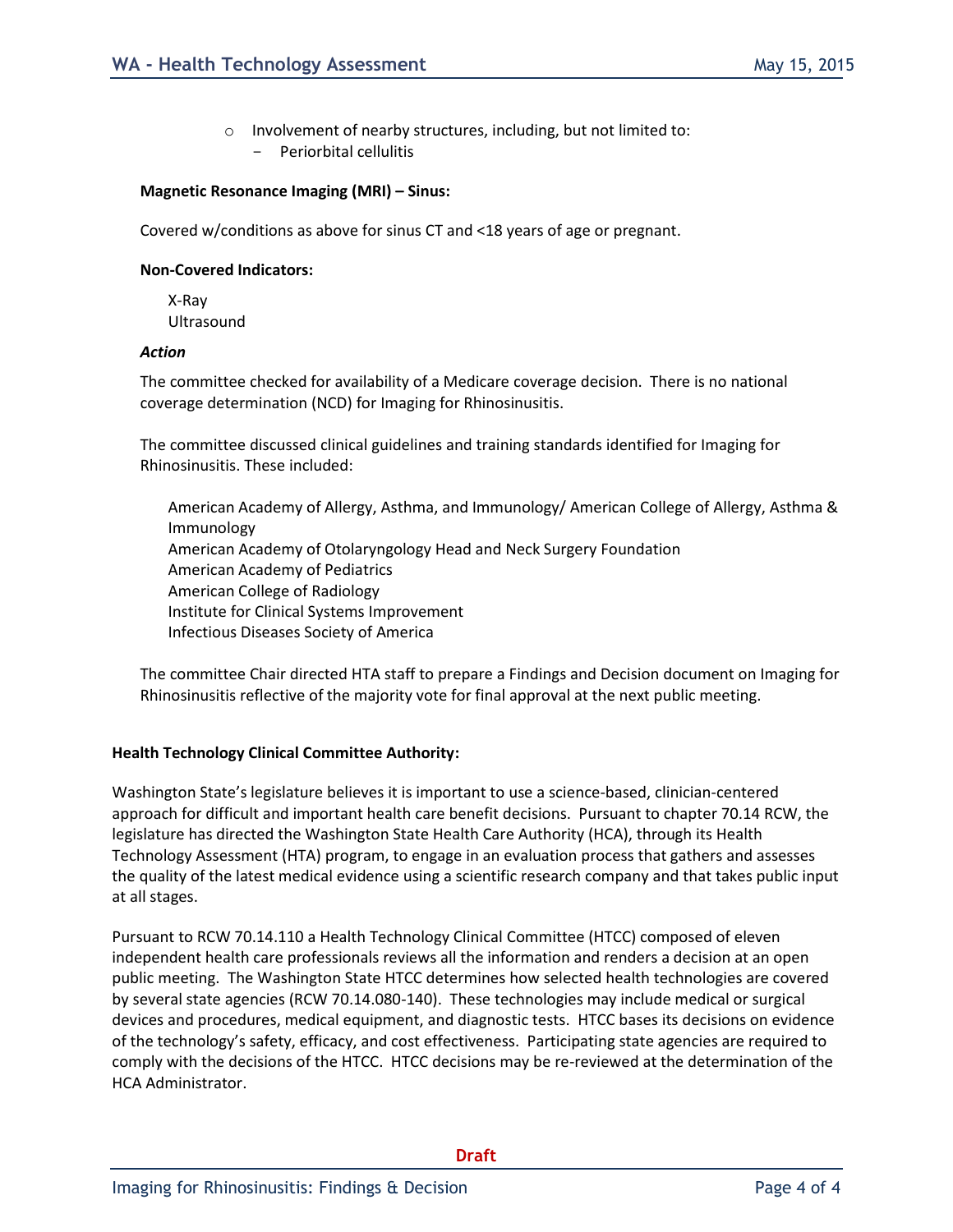o Involvement of nearby structures, including, but not limited to: Periorbital cellulitis

#### **Magnetic Resonance Imaging (MRI) – Sinus:**

Covered w/conditions as above for sinus CT and <18 years of age or pregnant.

#### **Non-Covered Indicators:**

X-Ray Ultrasound

#### *Action*

The committee checked for availability of a Medicare coverage decision. There is no national coverage determination (NCD) for Imaging for Rhinosinusitis.

The committee discussed clinical guidelines and training standards identified for Imaging for Rhinosinusitis. These included:

American Academy of Allergy, Asthma, and Immunology/ American College of Allergy, Asthma & Immunology American Academy of Otolaryngology Head and Neck Surgery Foundation American Academy of Pediatrics American College of Radiology Institute for Clinical Systems Improvement Infectious Diseases Society of America

The committee Chair directed HTA staff to prepare a Findings and Decision document on Imaging for Rhinosinusitis reflective of the majority vote for final approval at the next public meeting.

#### **Health Technology Clinical Committee Authority:**

Washington State's legislature believes it is important to use a science-based, clinician-centered approach for difficult and important health care benefit decisions. Pursuant to chapter 70.14 RCW, the legislature has directed the Washington State Health Care Authority (HCA), through its Health Technology Assessment (HTA) program, to engage in an evaluation process that gathers and assesses the quality of the latest medical evidence using a scientific research company and that takes public input at all stages.

Pursuant to RCW 70.14.110 a Health Technology Clinical Committee (HTCC) composed of eleven independent health care professionals reviews all the information and renders a decision at an open public meeting. The Washington State HTCC determines how selected health technologies are covered by several state agencies (RCW 70.14.080-140). These technologies may include medical or surgical devices and procedures, medical equipment, and diagnostic tests. HTCC bases its decisions on evidence of the technology's safety, efficacy, and cost effectiveness. Participating state agencies are required to comply with the decisions of the HTCC. HTCC decisions may be re-reviewed at the determination of the HCA Administrator.